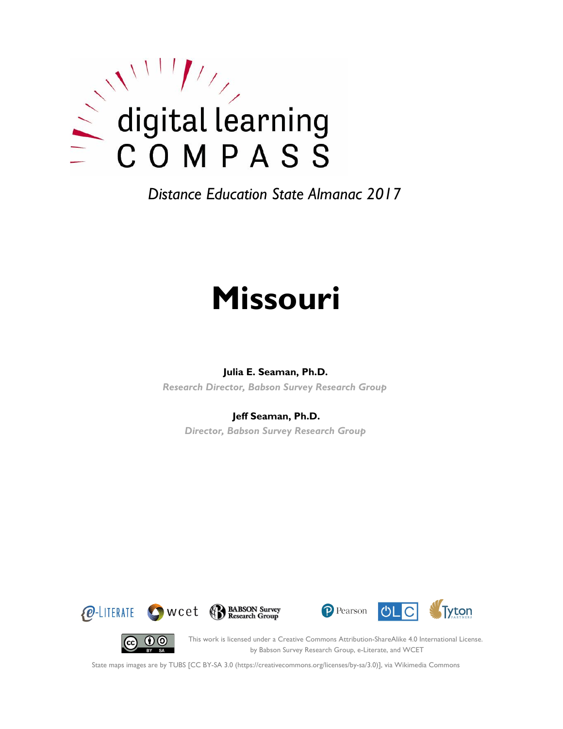

# **Missouri**

#### **Julia E. Seaman, Ph.D.**

*Research Director, Babson Survey Research Group*

#### **Jeff Seaman, Ph.D.**

*Director, Babson Survey Research Group*









This work is licensed under a Creative Commons Attribution-ShareAlike 4.0 International License. by Babson Survey Research Group, e-Literate, and WCET

State maps images are by TUBS [CC BY-SA 3.0 (https://creativecommons.org/licenses/by-sa/3.0)], via Wikimedia Commons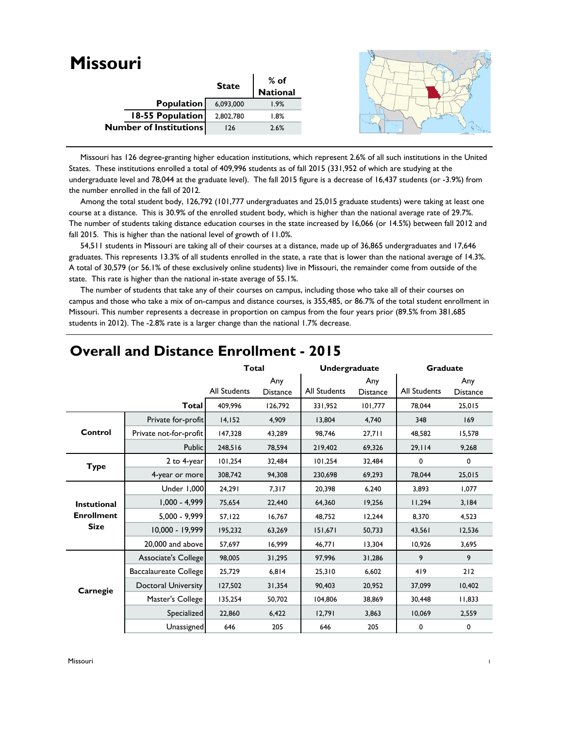| <b>Missouri</b>               |              |                  |  |
|-------------------------------|--------------|------------------|--|
|                               |              |                  |  |
|                               | <b>State</b> | % of<br>National |  |
| Population                    | 6,093,000    | 1.9%             |  |
| 18-55 Population              | 2,802,780    | 1.8%             |  |
| <b>Number of Institutions</b> | 126          | 2.6%             |  |
|                               |              |                  |  |

 Missouri has 126 degree-granting higher education institutions, which represent 2.6% of all such institutions in the United States. These institutions enrolled a total of 409,996 students as of fall 2015 (331,952 of which are studying at the undergraduate level and 78,044 at the graduate level). The fall 2015 figure is a decrease of 16,437 students (or -3.9%) from the number enrolled in the fall of 2012.

 Among the total student body, 126,792 (101,777 undergraduates and 25,015 graduate students) were taking at least one course at a distance. This is 30.9% of the enrolled student body, which is higher than the national average rate of 29.7%. The number of students taking distance education courses in the state increased by 16,066 (or 14.5%) between fall 2012 and fall 2015. This is higher than the national level of growth of 11.0%.

 54,511 students in Missouri are taking all of their courses at a distance, made up of 36,865 undergraduates and 17,646 graduates. This represents 13.3% of all students enrolled in the state, a rate that is lower than the national average of 14.3%. A total of 30,579 (or 56.1% of these exclusively online students) live in Missouri, the remainder come from outside of the state. This rate is higher than the national in-state average of 55.1%.

 The number of students that take any of their courses on campus, including those who take all of their courses on campus and those who take a mix of on-campus and distance courses, is 355,485, or 86.7% of the total student enrollment in Missouri. This number represents a decrease in proportion on campus from the four years prior (89.5% from 381,685 students in 2012). The -2.8% rate is a larger change than the national 1.7% decrease.

|                    |                            |              | <b>Total</b><br>Undergraduate |              |                        | <b>Graduate</b> |                        |
|--------------------|----------------------------|--------------|-------------------------------|--------------|------------------------|-----------------|------------------------|
|                    |                            | All Students | Any<br><b>Distance</b>        | All Students | Any<br><b>Distance</b> | All Students    | Any<br><b>Distance</b> |
|                    | <b>Total</b>               | 409,996      | 126,792                       | 331,952      | 101,777                | 78.044          | 25,015                 |
|                    | Private for-profit         | 14,152       | 4,909                         | 13,804       | 4,740                  | 348             | 169                    |
| Control            | Private not-for-profit     | 147,328      | 43,289                        | 98,746       | 27,711                 | 48,582          | 15,578                 |
|                    | <b>Public</b>              | 248,516      | 78,594                        | 219,402      | 69,326                 | 29,114          | 9,268                  |
| <b>Type</b>        | 2 to 4-year                | 101,254      | 32,484                        | 101,254      | 32,484                 | 0               | 0                      |
|                    | 4-year or more             | 308,742      | 94,308                        | 230,698      | 69,293                 | 78,044          | 25,015                 |
|                    | Under 1,000                | 24,291       | 7,317                         | 20,398       | 6,240                  | 3,893           | 1,077                  |
| <b>Instutional</b> | $1,000 - 4,999$            | 75,654       | 22,440                        | 64,360       | 19,256                 | 11,294          | 3,184                  |
| <b>Enrollment</b>  | $5,000 - 9,999$            | 57, 122      | 16,767                        | 48,752       | 12,244                 | 8,370           | 4,523                  |
| <b>Size</b>        | 10.000 - 19.999            | 195,232      | 63,269                        | 151,671      | 50,733                 | 43,561          | 12,536                 |
|                    | 20,000 and above           | 57,697       | 16,999                        | 46,771       | 13,304                 | 10,926          | 3,695                  |
|                    | Associate's College        | 98,005       | 31,295                        | 97,996       | 31,286                 | 9               | 9                      |
|                    | Baccalaureate College      | 25,729       | 6,814                         | 25,310       | 6,602                  | 419             | 212                    |
| Carnegie           | <b>Doctoral University</b> | 127,502      | 31,354                        | 90,403       | 20,952                 | 37,099          | 10,402                 |
|                    | Master's College           | 135,254      | 50,702                        | 104,806      | 38,869                 | 30,448          | 11,833                 |
|                    | Specialized                | 22,860       | 6,422                         | 12,791       | 3,863                  | 10,069          | 2,559                  |
|                    | Unassigned                 | 646          | 205                           | 646          | 205                    | 0               | 0                      |

#### **Overall and Distance Enrollment - 2015**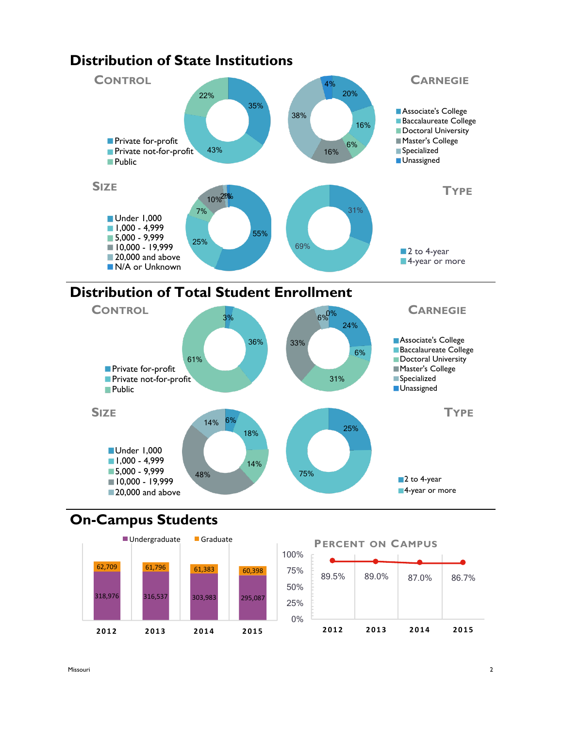

# **Distribution of Total Student Enrollment**



### **On-Campus Students**



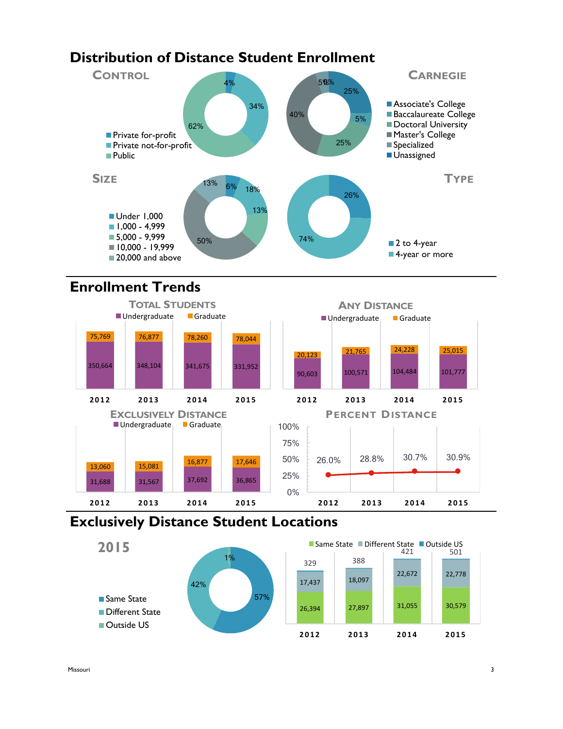## **Distribution of Distance Student Enrollment**



## **Enrollment Trends**



### **Exclusively Distance Student Locations**